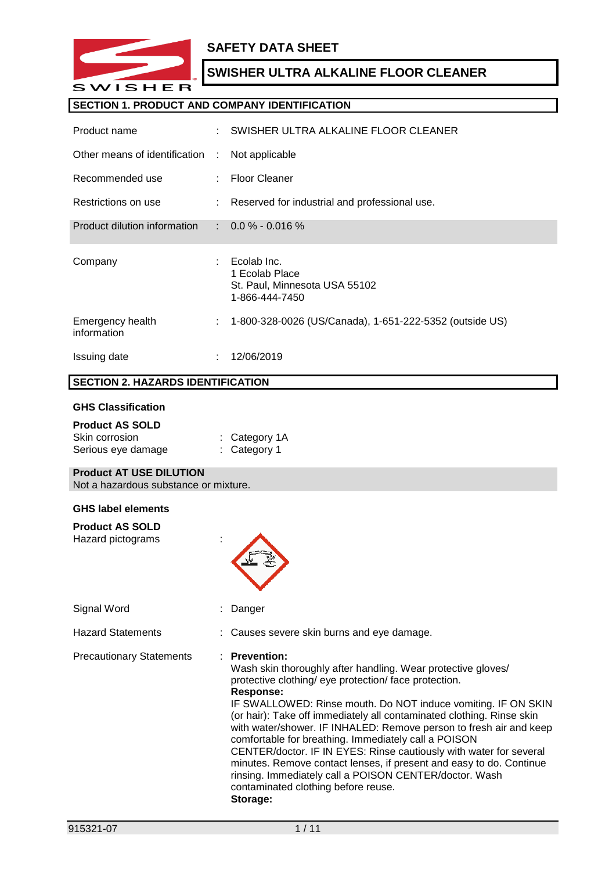

## **SAFETY DATA SHEET**

## **SWISHER ULTRA ALKALINE FLOOR CLEANER**

#### **SECTION 1. PRODUCT AND COMPANY IDENTIFICATION**

| Product name                    |   | SWISHER ULTRA ALKALINE FLOOR CLEANER                                             |
|---------------------------------|---|----------------------------------------------------------------------------------|
| Other means of identification   | ÷ | Not applicable                                                                   |
| Recommended use                 |   | <b>Floor Cleaner</b>                                                             |
| Restrictions on use             |   | : Reserved for industrial and professional use.                                  |
| Product dilution information    |   | $\therefore$ 0.0 % - 0.016 %                                                     |
|                                 |   |                                                                                  |
| Company                         |   | Ecolab Inc.<br>1 Ecolab Place<br>St. Paul, Minnesota USA 55102<br>1-866-444-7450 |
| Emergency health<br>information | ÷ | 1-800-328-0026 (US/Canada), 1-651-222-5352 (outside US)                          |

### **SECTION 2. HAZARDS IDENTIFICATION**

#### **GHS Classification**

| <b>Product AS SOLD</b> |                         |
|------------------------|-------------------------|
| Skin corrosion         | $:$ Category 1A         |
| Serious eye damage     | $\therefore$ Category 1 |

### **Product AT USE DILUTION**

Not a hazardous substance or mixture.

#### **GHS label elements**

| <b>Product AS SOLD</b><br>Hazard pictograms |                                                                                                                                                                                                                                                                                                                                                                                                                                                                                                                                                                                                                                                                                       |
|---------------------------------------------|---------------------------------------------------------------------------------------------------------------------------------------------------------------------------------------------------------------------------------------------------------------------------------------------------------------------------------------------------------------------------------------------------------------------------------------------------------------------------------------------------------------------------------------------------------------------------------------------------------------------------------------------------------------------------------------|
| Signal Word                                 | Danger                                                                                                                                                                                                                                                                                                                                                                                                                                                                                                                                                                                                                                                                                |
| <b>Hazard Statements</b>                    | : Causes severe skin burns and eye damage.                                                                                                                                                                                                                                                                                                                                                                                                                                                                                                                                                                                                                                            |
| <b>Precautionary Statements</b>             | : Prevention:<br>Wash skin thoroughly after handling. Wear protective gloves/<br>protective clothing/ eye protection/ face protection.<br>Response:<br>IF SWALLOWED: Rinse mouth. Do NOT induce vomiting. IF ON SKIN<br>(or hair): Take off immediately all contaminated clothing. Rinse skin<br>with water/shower. IF INHALED: Remove person to fresh air and keep<br>comfortable for breathing. Immediately call a POISON<br>CENTER/doctor. IF IN EYES: Rinse cautiously with water for several<br>minutes. Remove contact lenses, if present and easy to do. Continue<br>rinsing. Immediately call a POISON CENTER/doctor. Wash<br>contaminated clothing before reuse.<br>Storage: |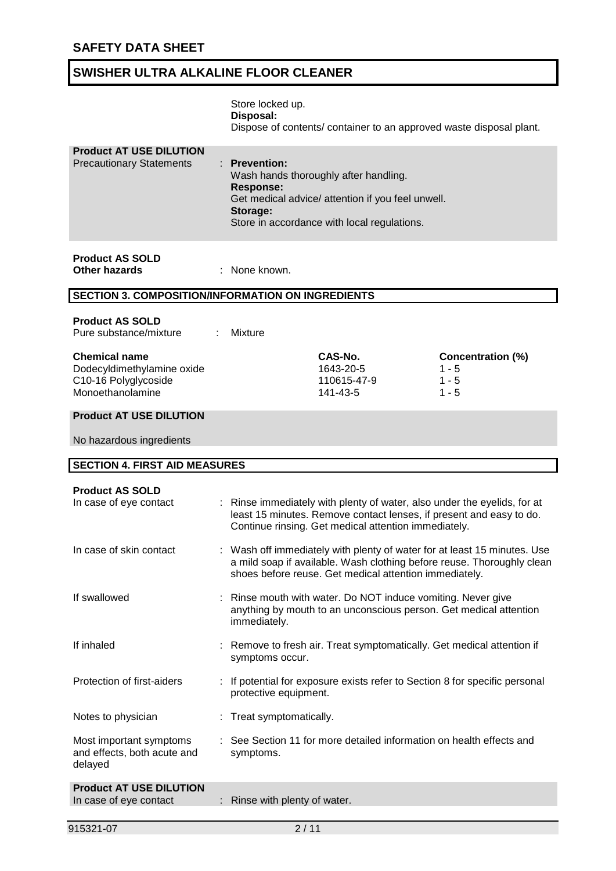|                                                                                                | Store locked up.<br>Disposal:                      |                                                                                                                                           | Dispose of contents/ container to an approved waste disposal plant.                                                                                |
|------------------------------------------------------------------------------------------------|----------------------------------------------------|-------------------------------------------------------------------------------------------------------------------------------------------|----------------------------------------------------------------------------------------------------------------------------------------------------|
| <b>Product AT USE DILUTION</b><br><b>Precautionary Statements</b>                              | <b>Prevention:</b><br><b>Response:</b><br>Storage: | Wash hands thoroughly after handling.<br>Get medical advice/ attention if you feel unwell.<br>Store in accordance with local regulations. |                                                                                                                                                    |
| <b>Product AS SOLD</b><br><b>Other hazards</b>                                                 | : None known.                                      |                                                                                                                                           |                                                                                                                                                    |
| <b>SECTION 3. COMPOSITION/INFORMATION ON INGREDIENTS</b>                                       |                                                    |                                                                                                                                           |                                                                                                                                                    |
| <b>Product AS SOLD</b><br>Pure substance/mixture                                               | <b>Mixture</b>                                     |                                                                                                                                           |                                                                                                                                                    |
| <b>Chemical name</b><br>Dodecyldimethylamine oxide<br>C10-16 Polyglycoside<br>Monoethanolamine |                                                    | CAS-No.<br>1643-20-5<br>110615-47-9<br>141-43-5                                                                                           | <b>Concentration (%)</b><br>$1 - 5$<br>$1 - 5$<br>$1 - 5$                                                                                          |
| <b>Product AT USE DILUTION</b>                                                                 |                                                    |                                                                                                                                           |                                                                                                                                                    |
| No hazardous ingredients                                                                       |                                                    |                                                                                                                                           |                                                                                                                                                    |
| <b>SECTION 4. FIRST AID MEASURES</b>                                                           |                                                    |                                                                                                                                           |                                                                                                                                                    |
| <b>Product AS SOLD</b><br>In case of eye contact                                               |                                                    | Continue rinsing. Get medical attention immediately.                                                                                      | : Rinse immediately with plenty of water, also under the eyelids, for at<br>least 15 minutes. Remove contact lenses, if present and easy to do.    |
| In case of skin contact                                                                        |                                                    | shoes before reuse. Get medical attention immediately.                                                                                    | : Wash off immediately with plenty of water for at least 15 minutes. Use<br>a mild soap if available. Wash clothing before reuse. Thoroughly clean |
| If swallowed                                                                                   | immediately.                                       |                                                                                                                                           | : Rinse mouth with water. Do NOT induce vomiting. Never give<br>anything by mouth to an unconscious person. Get medical attention                  |
| If inhaled                                                                                     | symptoms occur.                                    |                                                                                                                                           | : Remove to fresh air. Treat symptomatically. Get medical attention if                                                                             |
| Protection of first-aiders                                                                     | protective equipment.                              |                                                                                                                                           | : If potential for exposure exists refer to Section 8 for specific personal                                                                        |
| Notes to physician                                                                             | Treat symptomatically.                             |                                                                                                                                           |                                                                                                                                                    |
| Most important symptoms<br>and effects, both acute and<br>delayed                              | symptoms.                                          |                                                                                                                                           | See Section 11 for more detailed information on health effects and                                                                                 |
| <b>Product AT USE DILUTION</b><br>In case of eye contact                                       | Rinse with plenty of water.                        |                                                                                                                                           |                                                                                                                                                    |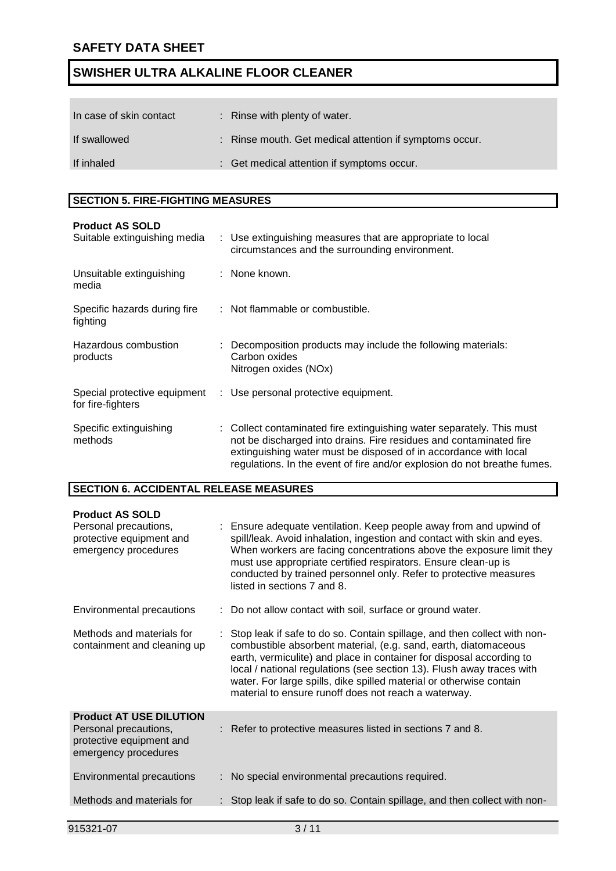| In case of skin contact | : Rinse with plenty of water.                           |
|-------------------------|---------------------------------------------------------|
| If swallowed            | : Rinse mouth. Get medical attention if symptoms occur. |
| If inhaled              | : Get medical attention if symptoms occur.              |

## **SECTION 5. FIRE-FIGHTING MEASURES**

| <b>Product AS SOLD</b><br>Suitable extinguishing media | : Use extinguishing measures that are appropriate to local<br>circumstances and the surrounding environment.                                                                                                                                                                              |
|--------------------------------------------------------|-------------------------------------------------------------------------------------------------------------------------------------------------------------------------------------------------------------------------------------------------------------------------------------------|
| Unsuitable extinguishing<br>media                      | : None known.                                                                                                                                                                                                                                                                             |
| Specific hazards during fire<br>fighting               | : Not flammable or combustible.                                                                                                                                                                                                                                                           |
| Hazardous combustion<br>products                       | Decomposition products may include the following materials:<br>Carbon oxides<br>Nitrogen oxides (NOx)                                                                                                                                                                                     |
| Special protective equipment<br>for fire-fighters      | : Use personal protective equipment.                                                                                                                                                                                                                                                      |
| Specific extinguishing<br>methods                      | Collect contaminated fire extinguishing water separately. This must<br>not be discharged into drains. Fire residues and contaminated fire<br>extinguishing water must be disposed of in accordance with local<br>regulations. In the event of fire and/or explosion do not breathe fumes. |

#### **SECTION 6. ACCIDENTAL RELEASE MEASURES**

| <b>Product AS SOLD</b><br>Personal precautions,<br>protective equipment and<br>emergency procedures         | : Ensure adequate ventilation. Keep people away from and upwind of<br>spill/leak. Avoid inhalation, ingestion and contact with skin and eyes.<br>When workers are facing concentrations above the exposure limit they<br>must use appropriate certified respirators. Ensure clean-up is<br>conducted by trained personnel only. Refer to protective measures<br>listed in sections 7 and 8.                                 |
|-------------------------------------------------------------------------------------------------------------|-----------------------------------------------------------------------------------------------------------------------------------------------------------------------------------------------------------------------------------------------------------------------------------------------------------------------------------------------------------------------------------------------------------------------------|
| Environmental precautions                                                                                   | : Do not allow contact with soil, surface or ground water.                                                                                                                                                                                                                                                                                                                                                                  |
| Methods and materials for<br>containment and cleaning up                                                    | Stop leak if safe to do so. Contain spillage, and then collect with non-<br>combustible absorbent material, (e.g. sand, earth, diatomaceous<br>earth, vermiculite) and place in container for disposal according to<br>local / national regulations (see section 13). Flush away traces with<br>water. For large spills, dike spilled material or otherwise contain<br>material to ensure runoff does not reach a waterway. |
| <b>Product AT USE DILUTION</b><br>Personal precautions,<br>protective equipment and<br>emergency procedures | : Refer to protective measures listed in sections 7 and 8.                                                                                                                                                                                                                                                                                                                                                                  |
| Environmental precautions                                                                                   | : No special environmental precautions required.                                                                                                                                                                                                                                                                                                                                                                            |
| Methods and materials for                                                                                   | : Stop leak if safe to do so. Contain spillage, and then collect with non-                                                                                                                                                                                                                                                                                                                                                  |
|                                                                                                             |                                                                                                                                                                                                                                                                                                                                                                                                                             |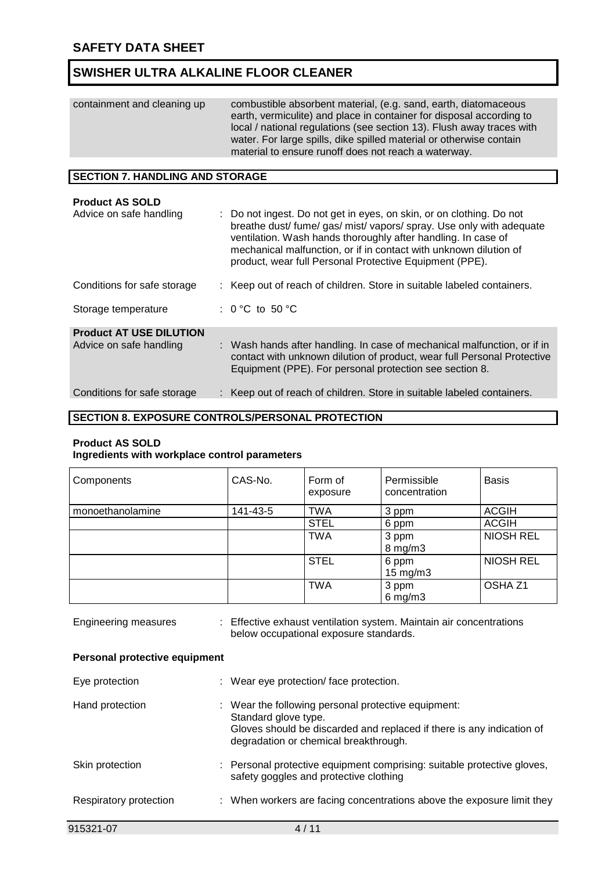| containment and cleaning up | combustible absorbent material, (e.g. sand, earth, diatomaceous<br>earth, vermiculite) and place in container for disposal according to<br>local / national regulations (see section 13). Flush away traces with<br>water. For large spills, dike spilled material or otherwise contain<br>material to ensure runoff does not reach a waterway. |
|-----------------------------|-------------------------------------------------------------------------------------------------------------------------------------------------------------------------------------------------------------------------------------------------------------------------------------------------------------------------------------------------|
|-----------------------------|-------------------------------------------------------------------------------------------------------------------------------------------------------------------------------------------------------------------------------------------------------------------------------------------------------------------------------------------------|

#### **SECTION 7. HANDLING AND STORAGE**

| <b>Product AS SOLD</b>         |                                                                                                                                                                                                                                                                                                                                               |
|--------------------------------|-----------------------------------------------------------------------------------------------------------------------------------------------------------------------------------------------------------------------------------------------------------------------------------------------------------------------------------------------|
| Advice on safe handling        | : Do not ingest. Do not get in eyes, on skin, or on clothing. Do not<br>breathe dust/ fume/ gas/ mist/ vapors/ spray. Use only with adequate<br>ventilation. Wash hands thoroughly after handling. In case of<br>mechanical malfunction, or if in contact with unknown dilution of<br>product, wear full Personal Protective Equipment (PPE). |
| Conditions for safe storage    | : Keep out of reach of children. Store in suitable labeled containers.                                                                                                                                                                                                                                                                        |
| Storage temperature            | : $0^{\circ}$ C to 50 $^{\circ}$ C                                                                                                                                                                                                                                                                                                            |
| <b>Product AT USE DILUTION</b> |                                                                                                                                                                                                                                                                                                                                               |
| Advice on safe handling        | : Wash hands after handling. In case of mechanical malfunction, or if in<br>contact with unknown dilution of product, wear full Personal Protective<br>Equipment (PPE). For personal protection see section 8.                                                                                                                                |
| Conditions for safe storage    | : Keep out of reach of children. Store in suitable labeled containers.                                                                                                                                                                                                                                                                        |
|                                |                                                                                                                                                                                                                                                                                                                                               |

### **SECTION 8. EXPOSURE CONTROLS/PERSONAL PROTECTION**

#### **Product AS SOLD**

### **Ingredients with workplace control parameters**

| Components       | CAS-No.  | Form of<br>exposure | Permissible<br>concentration | <b>Basis</b>       |
|------------------|----------|---------------------|------------------------------|--------------------|
| monoethanolamine | 141-43-5 | <b>TWA</b>          | 3 ppm                        | <b>ACGIH</b>       |
|                  |          | <b>STEL</b>         | 6 ppm                        | <b>ACGIH</b>       |
|                  |          | <b>TWA</b>          | 3 ppm<br>$8$ mg/m $3$        | NIOSH REL          |
|                  |          | <b>STEL</b>         | 6 ppm<br>$15 \text{ mg/m}$   | <b>NIOSH REL</b>   |
|                  |          | <b>TWA</b>          | 3 ppm<br>$6$ mg/m $3$        | OSHA <sub>Z1</sub> |

| 915321-07                            | 4/11                                                                                                                                                                                          |
|--------------------------------------|-----------------------------------------------------------------------------------------------------------------------------------------------------------------------------------------------|
| Respiratory protection               | : When workers are facing concentrations above the exposure limit they                                                                                                                        |
| Skin protection                      | : Personal protective equipment comprising: suitable protective gloves,<br>safety goggles and protective clothing                                                                             |
| Hand protection                      | : Wear the following personal protective equipment:<br>Standard glove type.<br>Gloves should be discarded and replaced if there is any indication of<br>degradation or chemical breakthrough. |
| Eye protection                       | : Wear eye protection/face protection.                                                                                                                                                        |
| <b>Personal protective equipment</b> |                                                                                                                                                                                               |
| Engineering measures                 | : Effective exhaust ventilation system. Maintain air concentrations<br>below occupational exposure standards.                                                                                 |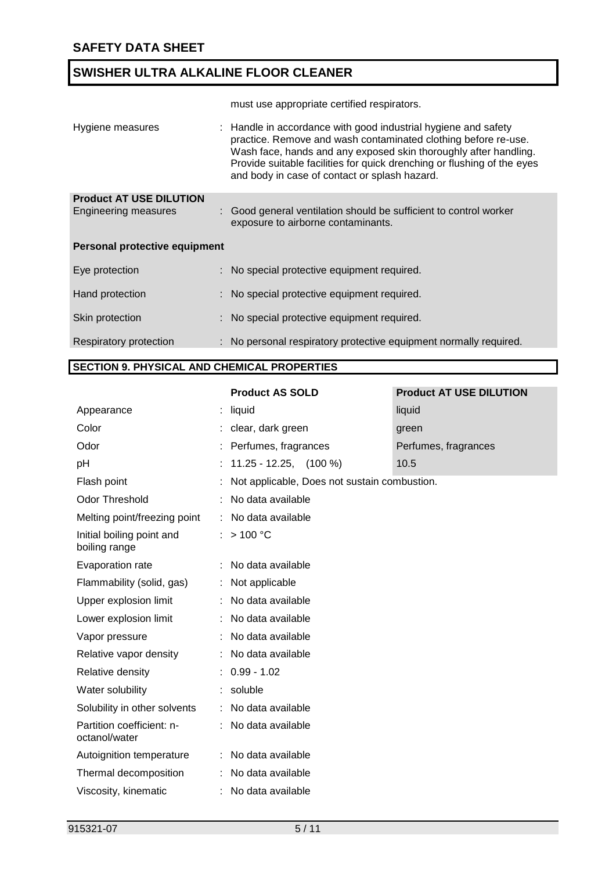must use appropriate certified respirators.

| Hygiene measures               | : Handle in accordance with good industrial hygiene and safety<br>practice. Remove and wash contaminated clothing before re-use.<br>Wash face, hands and any exposed skin thoroughly after handling.<br>Provide suitable facilities for quick drenching or flushing of the eyes<br>and body in case of contact or splash hazard. |
|--------------------------------|----------------------------------------------------------------------------------------------------------------------------------------------------------------------------------------------------------------------------------------------------------------------------------------------------------------------------------|
| <b>Product AT USE DILUTION</b> |                                                                                                                                                                                                                                                                                                                                  |
| Engineering measures           | : Good general ventilation should be sufficient to control worker<br>exposure to airborne contaminants.                                                                                                                                                                                                                          |
| Personal protective equipment  |                                                                                                                                                                                                                                                                                                                                  |
| Eye protection                 | : No special protective equipment required.                                                                                                                                                                                                                                                                                      |
| Hand protection                | : No special protective equipment required.                                                                                                                                                                                                                                                                                      |
| Skin protection                | : No special protective equipment required.                                                                                                                                                                                                                                                                                      |
| Respiratory protection         | : No personal respiratory protective equipment normally required.                                                                                                                                                                                                                                                                |

### **SECTION 9. PHYSICAL AND CHEMICAL PROPERTIES**

#### **Product AS SOLD Product AT USE DILUTION**

| Appearance                                 | liquid                                       | liquid               |  |  |  |  |
|--------------------------------------------|----------------------------------------------|----------------------|--|--|--|--|
| Color                                      | clear, dark green                            | green                |  |  |  |  |
| Odor                                       | Perfumes, fragrances                         | Perfumes, fragrances |  |  |  |  |
| pH                                         | $11.25 - 12.25, (100%)$                      | 10.5                 |  |  |  |  |
| Flash point                                | Not applicable, Does not sustain combustion. |                      |  |  |  |  |
| <b>Odor Threshold</b>                      | No data available                            |                      |  |  |  |  |
| Melting point/freezing point               | : No data available                          |                      |  |  |  |  |
| Initial boiling point and<br>boiling range | : $> 100 °C$                                 |                      |  |  |  |  |
| Evaporation rate                           | : No data available                          |                      |  |  |  |  |
| Flammability (solid, gas)                  | : Not applicable                             |                      |  |  |  |  |
| Upper explosion limit                      | : No data available                          |                      |  |  |  |  |
| Lower explosion limit                      | No data available                            |                      |  |  |  |  |
| Vapor pressure                             | No data available                            |                      |  |  |  |  |
| Relative vapor density                     | : No data available                          |                      |  |  |  |  |
| Relative density                           | $: 0.99 - 1.02$                              |                      |  |  |  |  |
| Water solubility                           | soluble                                      |                      |  |  |  |  |
| Solubility in other solvents               | : No data available                          |                      |  |  |  |  |
| Partition coefficient: n-<br>octanol/water | : No data available                          |                      |  |  |  |  |
| Autoignition temperature                   | : No data available                          |                      |  |  |  |  |
| Thermal decomposition                      | No data available                            |                      |  |  |  |  |
| Viscosity, kinematic                       | : No data available                          |                      |  |  |  |  |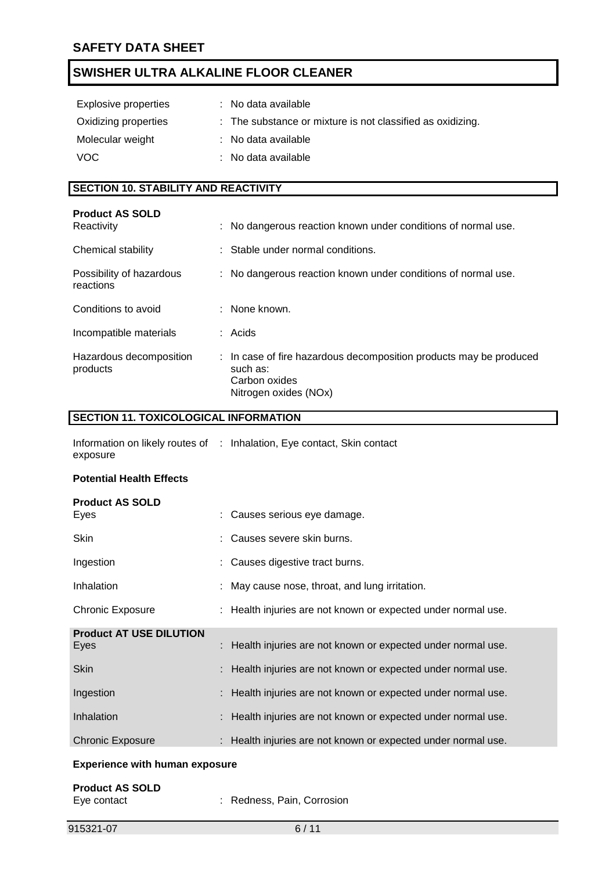| Explosive properties | : No data available                                        |
|----------------------|------------------------------------------------------------|
| Oxidizing properties | : The substance or mixture is not classified as oxidizing. |
| Molecular weight     | : No data available                                        |
| VOC.                 | : No data available                                        |

## **SECTION 10. STABILITY AND REACTIVITY**

| <b>Product AS SOLD</b><br>Reactivity  | : No dangerous reaction known under conditions of normal use.                                                            |
|---------------------------------------|--------------------------------------------------------------------------------------------------------------------------|
| Chemical stability                    | : Stable under normal conditions.                                                                                        |
| Possibility of hazardous<br>reactions | : No dangerous reaction known under conditions of normal use.                                                            |
| Conditions to avoid                   | $:$ None known.                                                                                                          |
| Incompatible materials                | : Acids                                                                                                                  |
| Hazardous decomposition<br>products   | : In case of fire hazardous decomposition products may be produced<br>such as:<br>Carbon oxides<br>Nitrogen oxides (NOx) |

## **SECTION 11. TOXICOLOGICAL INFORMATION**

|          | Information on likely routes of : Inhalation, Eye contact, Skin contact |
|----------|-------------------------------------------------------------------------|
| exposure |                                                                         |

#### **Potential Health Effects**

| <b>Product AS SOLD</b><br>Eyes         | : Causes serious eye damage.                                  |
|----------------------------------------|---------------------------------------------------------------|
| Skin                                   | : Causes severe skin burns.                                   |
| Ingestion                              | : Causes digestive tract burns.                               |
| Inhalation                             | : May cause nose, throat, and lung irritation.                |
| <b>Chronic Exposure</b>                | : Health injuries are not known or expected under normal use. |
| <b>Product AT USE DILUTION</b><br>Eyes | : Health injuries are not known or expected under normal use. |
| <b>Skin</b>                            | : Health injuries are not known or expected under normal use. |
| Ingestion                              | : Health injuries are not known or expected under normal use. |
| Inhalation                             | : Health injuries are not known or expected under normal use. |
| <b>Chronic Exposure</b>                | : Health injuries are not known or expected under normal use. |
|                                        |                                                               |

#### **Experience with human exposure**

| <b>Product AS SOLD</b> |                            |
|------------------------|----------------------------|
| Eye contact            | : Redness, Pain, Corrosion |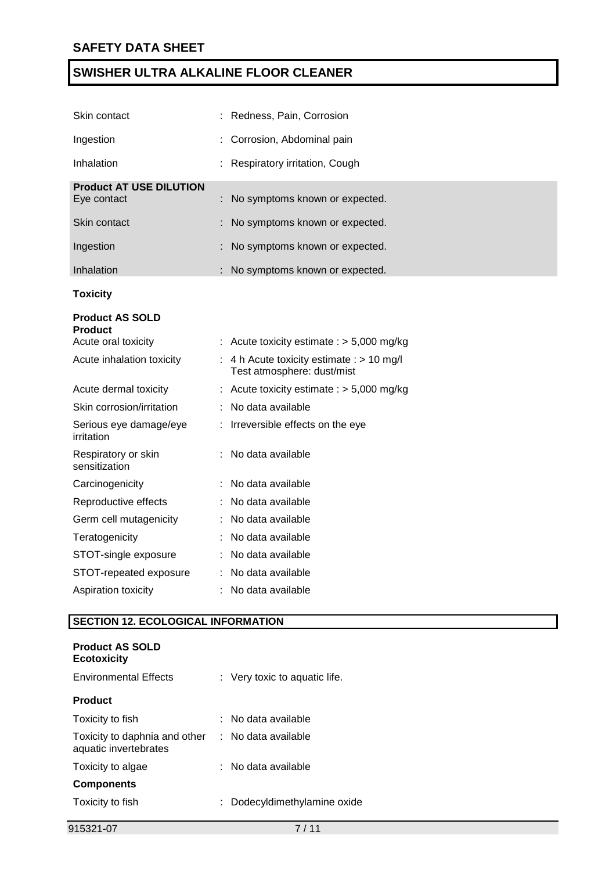| Skin contact                                  | : Redness, Pain, Corrosion                                                |
|-----------------------------------------------|---------------------------------------------------------------------------|
| Ingestion                                     | Corrosion, Abdominal pain                                                 |
| Inhalation                                    | Respiratory irritation, Cough                                             |
| <b>Product AT USE DILUTION</b><br>Eye contact | No symptoms known or expected.                                            |
| Skin contact                                  | No symptoms known or expected.                                            |
| Ingestion                                     | No symptoms known or expected.                                            |
| Inhalation                                    | No symptoms known or expected.                                            |
| <b>Toxicity</b>                               |                                                                           |
| <b>Product AS SOLD</b><br><b>Product</b>      |                                                                           |
| Acute oral toxicity                           | : Acute toxicity estimate : $> 5,000$ mg/kg                               |
| Acute inhalation toxicity                     | : 4 h Acute toxicity estimate : $> 10$ mg/l<br>Test atmosphere: dust/mist |
| Acute dermal toxicity                         | : Acute toxicity estimate : $> 5,000$ mg/kg                               |
| Skin corrosion/irritation                     | No data available                                                         |
| Serious eye damage/eye<br>irritation          | Irreversible effects on the eye                                           |
| Respiratory or skin<br>sensitization          | No data available                                                         |
| Carcinogenicity                               | No data available                                                         |
| Reproductive effects                          | No data available                                                         |
| Germ cell mutagenicity                        | No data available                                                         |
| Teratogenicity                                | No data available                                                         |
| STOT-single exposure                          | No data available                                                         |
| STOT-repeated exposure                        | No data available                                                         |
| Aspiration toxicity                           | No data available                                                         |

## **SECTION 12. ECOLOGICAL INFORMATION**

| <b>Product AS SOLD</b><br><b>Ecotoxicity</b>           |                               |
|--------------------------------------------------------|-------------------------------|
| <b>Environmental Effects</b>                           | : Very toxic to aquatic life. |
| <b>Product</b>                                         |                               |
| Toxicity to fish                                       | : No data available           |
| Toxicity to daphnia and other<br>aquatic invertebrates | : No data available           |
| Toxicity to algae                                      | : No data available           |
| <b>Components</b>                                      |                               |
| Toxicity to fish                                       | Dodecyldimethylamine oxide    |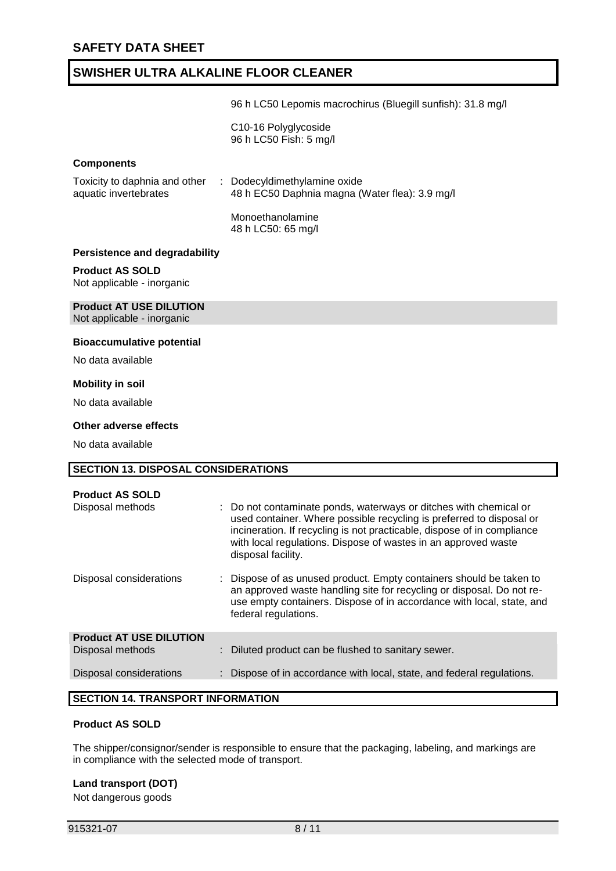96 h LC50 Lepomis macrochirus (Bluegill sunfish): 31.8 mg/l

C10-16 Polyglycoside 96 h LC50 Fish: 5 mg/l

#### **Components**

| Toxicity to daphnia and other | : Dodecyldimethylamine oxide                   |
|-------------------------------|------------------------------------------------|
| aquatic invertebrates         | 48 h EC50 Daphnia magna (Water flea): 3.9 mg/l |
|                               |                                                |

Monoethanolamine 48 h LC50: 65 mg/l

#### **Persistence and degradability**

#### **Product AS SOLD**

Not applicable - inorganic

# **Product AT USE DILUTION**

Not applicable - inorganic

#### **Bioaccumulative potential**

No data available

#### **Mobility in soil**

No data available

#### **Other adverse effects**

No data available

## **SECTION 13. DISPOSAL CONSIDERATIONS Product AS SOLD** Disposal methods : Do not contaminate ponds, waterways or ditches with chemical or used container. Where possible recycling is preferred to disposal or incineration. If recycling is not practicable, dispose of in compliance with local regulations. Dispose of wastes in an approved waste disposal facility. Disposal considerations : Dispose of as unused product. Empty containers should be taken to an approved waste handling site for recycling or disposal. Do not reuse empty containers. Dispose of in accordance with local, state, and federal regulations. **Product AT USE DILUTION** Disposal methods : Diluted product can be flushed to sanitary sewer. Disposal considerations : Dispose of in accordance with local, state, and federal regulations.

## **SECTION 14. TRANSPORT INFORMATION**

#### **Product AS SOLD**

The shipper/consignor/sender is responsible to ensure that the packaging, labeling, and markings are in compliance with the selected mode of transport.

#### **Land transport (DOT)**

Not dangerous goods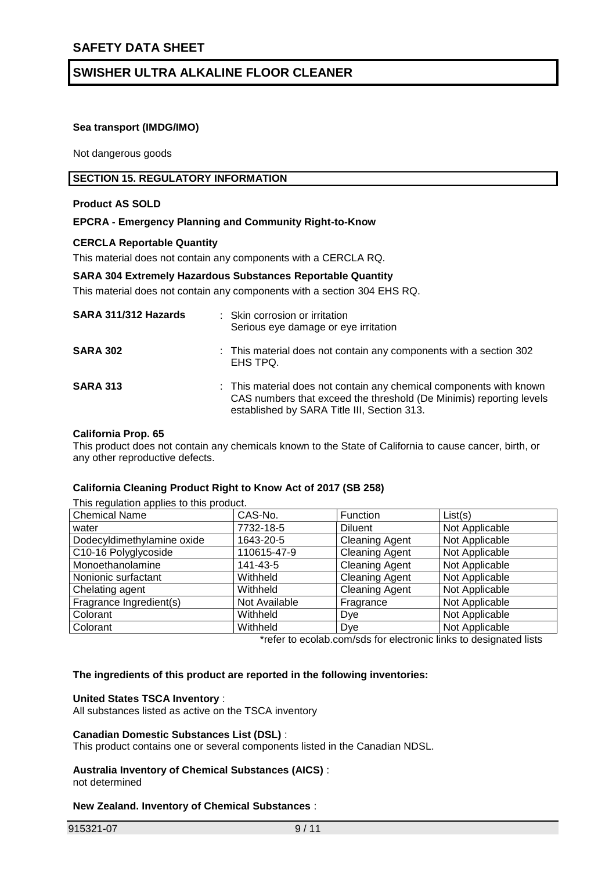#### **Sea transport (IMDG/IMO)**

Not dangerous goods

#### **SECTION 15. REGULATORY INFORMATION**

#### **Product AS SOLD**

#### **EPCRA - Emergency Planning and Community Right-to-Know**

#### **CERCLA Reportable Quantity**

This material does not contain any components with a CERCLA RQ.

#### **SARA 304 Extremely Hazardous Substances Reportable Quantity**

This material does not contain any components with a section 304 EHS RQ.

| SARA 311/312 Hazards | : Skin corrosion or irritation<br>Serious eye damage or eye irritation                                                                                                                    |
|----------------------|-------------------------------------------------------------------------------------------------------------------------------------------------------------------------------------------|
| <b>SARA 302</b>      | : This material does not contain any components with a section 302<br>EHS TPQ.                                                                                                            |
| <b>SARA 313</b>      | : This material does not contain any chemical components with known<br>CAS numbers that exceed the threshold (De Minimis) reporting levels<br>established by SARA Title III, Section 313. |

#### **California Prop. 65**

This product does not contain any chemicals known to the State of California to cause cancer, birth, or any other reproductive defects.

#### **California Cleaning Product Right to Know Act of 2017 (SB 258)**

This regulation applies to this product.<br>Chemical Name (CAS-No.) Chemical Name CAS-No. Function List(s)<br>
water 7732-18-5 Diluent Not Application water  $|7732-18-5$  Diluent Not Applicable Dodecyldimethylamine oxide | 1643-20-5 | Cleaning Agent | Not Applicable C10-16 Polyglycoside 110615-47-9 Cleaning Agent Not Applicable Monoethanolamine 141-43-5 Cleaning Agent Not Applicable Nonionic surfactant  $\vert$  Withheld  $\vert$  Cleaning Agent  $\vert$  Not Applicable Chelating agent **Chelating Agent** | Withheld **Cleaning Agent** | Not Applicable Fragrance Ingredient(s) Not Available Fragrance Not Applicable Colorant Not Applicable Not Applicable Not Applicable Not Applicable Colorant Not Applicable Not Applicable Not Applicable Not Applicable

\*refer to ecolab.com/sds for electronic links to designated lists

#### **The ingredients of this product are reported in the following inventories:**

#### **United States TSCA Inventory** :

All substances listed as active on the TSCA inventory

#### **Canadian Domestic Substances List (DSL)** :

This product contains one or several components listed in the Canadian NDSL.

# **Australia Inventory of Chemical Substances (AICS)** :

#### not determined

#### **New Zealand. Inventory of Chemical Substances** :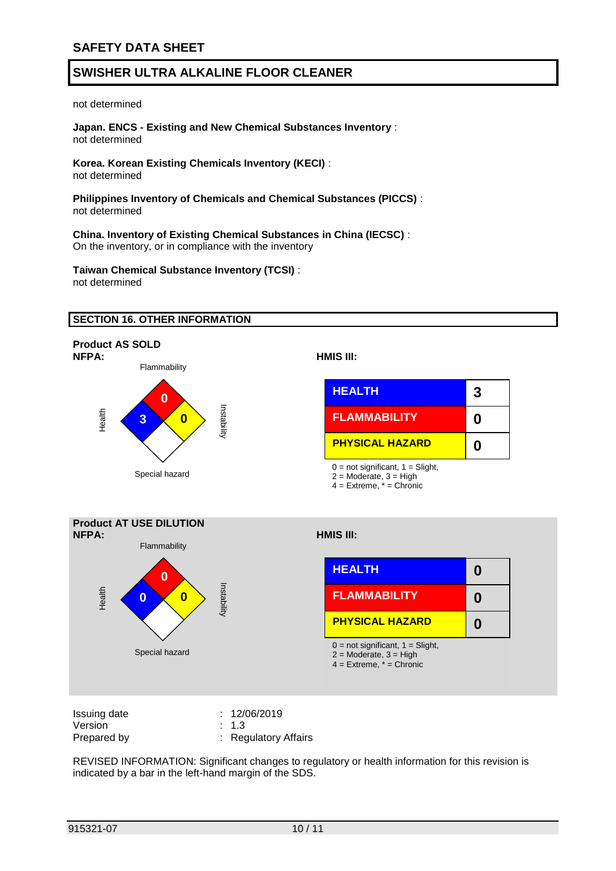not determined

**Japan. ENCS - Existing and New Chemical Substances Inventory** : not determined

**Korea. Korean Existing Chemicals Inventory (KECI)** : not determined

**Philippines Inventory of Chemicals and Chemical Substances (PICCS)** : not determined

**China. Inventory of Existing Chemical Substances in China (IECSC)** : On the inventory, or in compliance with the inventory

**Taiwan Chemical Substance Inventory (TCSI)** : not determined

#### **SECTION 16. OTHER INFORMATION**



**NFPA: HMIS III:**

| <b>HEALTH</b>                | 3 |
|------------------------------|---|
| <b>FLAMMABILITY</b>          | Ω |
| <b>PHYSICAL HAZARD</b>       | O |
| 0. not oinvitionnt 1. Clinht |   |

 $0 =$  not significant,  $1 =$  Slight,

2 = Moderate, 3 = High

4 = Extreme, \* = Chronic



| Issuing date | : 12/06/2019         |
|--------------|----------------------|
| Version      | $\therefore$ 1.3     |
| Prepared by  | : Regulatory Affairs |

REVISED INFORMATION: Significant changes to regulatory or health information for this revision is indicated by a bar in the left-hand margin of the SDS.